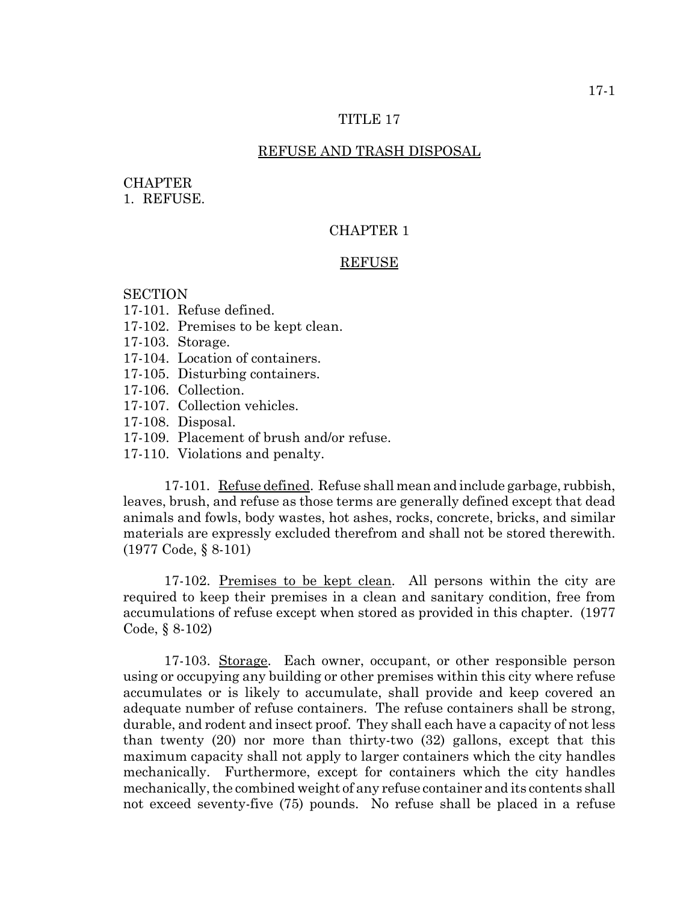## TITLE 17

## REFUSE AND TRASH DISPOSAL

## **CHAPTER**

1. REFUSE.

# CHAPTER 1

#### **REFUSE**

## **SECTION**

- 17-101. Refuse defined.
- 17-102. Premises to be kept clean.
- 17-103. Storage.
- 17-104. Location of containers.
- 17-105. Disturbing containers.
- 17-106. Collection.
- 17-107. Collection vehicles.
- 17-108. Disposal.
- 17-109. Placement of brush and/or refuse.
- 17-110. Violations and penalty.

17-101. Refuse defined. Refuse shall mean and include garbage, rubbish, leaves, brush, and refuse as those terms are generally defined except that dead animals and fowls, body wastes, hot ashes, rocks, concrete, bricks, and similar materials are expressly excluded therefrom and shall not be stored therewith. (1977 Code, § 8-101)

17-102. Premises to be kept clean. All persons within the city are required to keep their premises in a clean and sanitary condition, free from accumulations of refuse except when stored as provided in this chapter. (1977 Code, § 8-102)

17-103. Storage. Each owner, occupant, or other responsible person using or occupying any building or other premises within this city where refuse accumulates or is likely to accumulate, shall provide and keep covered an adequate number of refuse containers. The refuse containers shall be strong, durable, and rodent and insect proof. They shall each have a capacity of not less than twenty (20) nor more than thirty-two (32) gallons, except that this maximum capacity shall not apply to larger containers which the city handles mechanically. Furthermore, except for containers which the city handles mechanically, the combined weight of any refuse container and its contents shall not exceed seventy-five (75) pounds. No refuse shall be placed in a refuse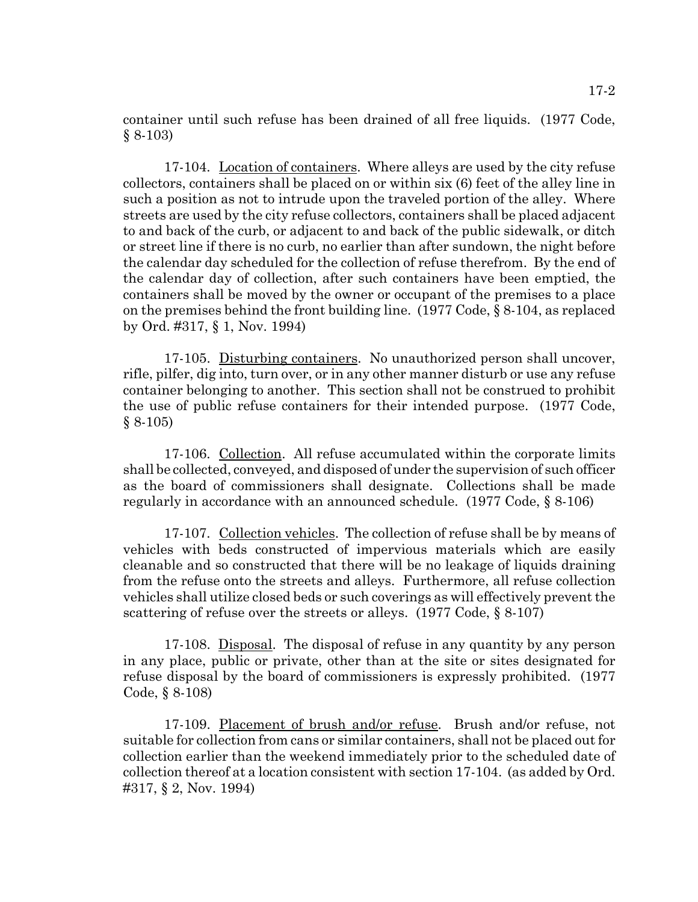container until such refuse has been drained of all free liquids. (1977 Code, § 8-103)

17-104. Location of containers. Where alleys are used by the city refuse collectors, containers shall be placed on or within six (6) feet of the alley line in such a position as not to intrude upon the traveled portion of the alley. Where streets are used by the city refuse collectors, containers shall be placed adjacent to and back of the curb, or adjacent to and back of the public sidewalk, or ditch or street line if there is no curb, no earlier than after sundown, the night before the calendar day scheduled for the collection of refuse therefrom. By the end of the calendar day of collection, after such containers have been emptied, the containers shall be moved by the owner or occupant of the premises to a place on the premises behind the front building line. (1977 Code, § 8-104, as replaced by Ord. #317, § 1, Nov. 1994)

17-105. Disturbing containers. No unauthorized person shall uncover, rifle, pilfer, dig into, turn over, or in any other manner disturb or use any refuse container belonging to another. This section shall not be construed to prohibit the use of public refuse containers for their intended purpose. (1977 Code,  $§ 8-105)$ 

17-106. Collection. All refuse accumulated within the corporate limits shall be collected, conveyed, and disposed of under the supervision of such officer as the board of commissioners shall designate. Collections shall be made regularly in accordance with an announced schedule. (1977 Code, § 8-106)

17-107. Collection vehicles. The collection of refuse shall be by means of vehicles with beds constructed of impervious materials which are easily cleanable and so constructed that there will be no leakage of liquids draining from the refuse onto the streets and alleys. Furthermore, all refuse collection vehicles shall utilize closed beds or such coverings as will effectively prevent the scattering of refuse over the streets or alleys. (1977 Code, § 8-107)

17-108. Disposal. The disposal of refuse in any quantity by any person in any place, public or private, other than at the site or sites designated for refuse disposal by the board of commissioners is expressly prohibited. (1977 Code, § 8-108)

17-109. Placement of brush and/or refuse. Brush and/or refuse, not suitable for collection from cans or similar containers, shall not be placed out for collection earlier than the weekend immediately prior to the scheduled date of collection thereof at a location consistent with section 17-104. (as added by Ord. #317, § 2, Nov. 1994)